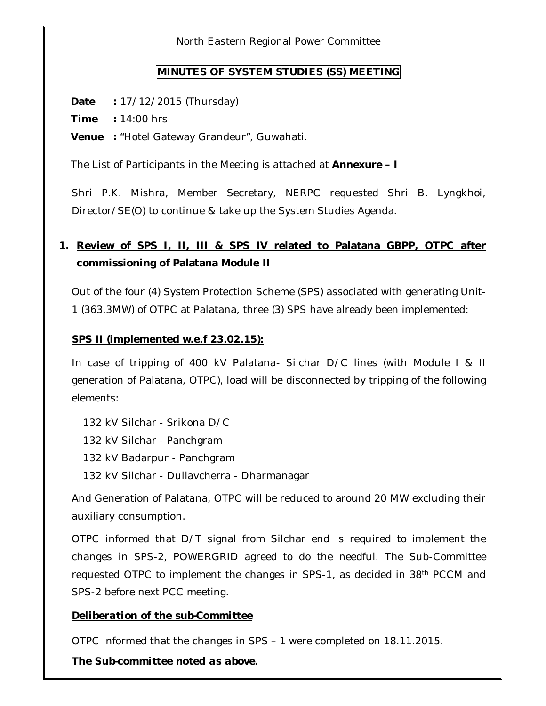North Eastern Regional Power Committee

#### **MINUTES OF SYSTEM STUDIES (SS) MEETING**

**Date :** 17/12/2015 (Thursday)

**Time :** 14:00 hrs

**Venue :** "Hotel Gateway Grandeur", Guwahati.

The List of Participants in the Meeting is attached at **Annexure – I**

Shri P.K. Mishra, Member Secretary, NERPC requested Shri B. Lyngkhoi, Director/SE(O) to continue & take up the System Studies Agenda.

# **1. Review of SPS I, II, III & SPS IV related to Palatana GBPP, OTPC after commissioning of Palatana Module II**

Out of the four (4) System Protection Scheme (SPS) associated with generating Unit-1 (363.3MW) of OTPC at Palatana, three (3) SPS have already been implemented:

#### **SPS II (implemented w.e.f 23.02.15):**

In case of tripping of 400 kV Palatana- Silchar D/C lines (with Module I & II generation of Palatana, OTPC), load will be disconnected by tripping of the following elements:

132 kV Silchar - Srikona D/C

132 kV Silchar - Panchgram

132 kV Badarpur - Panchgram

132 kV Silchar - Dullavcherra - Dharmanagar

And Generation of Palatana, OTPC will be reduced to around 20 MW excluding their auxiliary consumption.

OTPC informed that D/T signal from Silchar end is required to implement the changes in SPS-2, POWERGRID agreed to do the needful. The Sub-Committee requested OTPC to implement the changes in SPS-1, as decided in 38th PCCM and SPS-2 before next PCC meeting.

#### *Deliberation of the sub-Committee*

OTPC informed that the changes in SPS – 1 were completed on 18.11.2015.

*The Sub-committee noted as above.*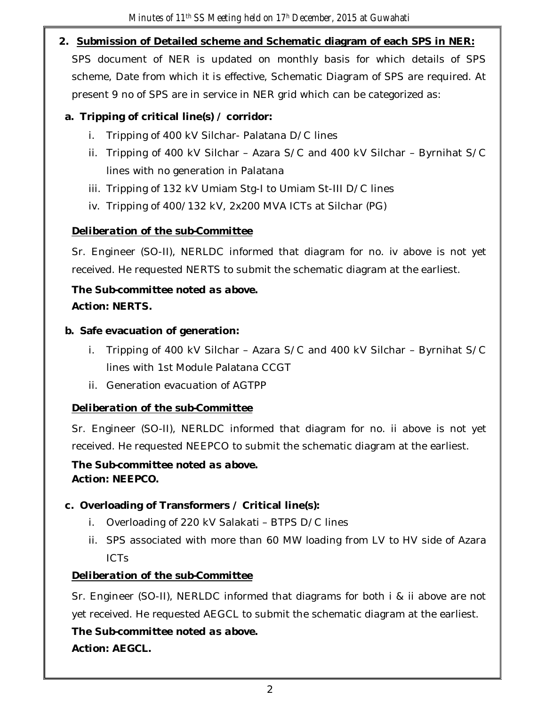**2. Submission of Detailed scheme and Schematic diagram of each SPS in NER:** SPS document of NER is updated on monthly basis for which details of SPS scheme, Date from which it is effective, Schematic Diagram of SPS are required. At present 9 no of SPS are in service in NER grid which can be categorized as:

## **a. Tripping of critical line(s) / corridor:**

- i. Tripping of 400 kV Silchar- Palatana D/C lines
- ii. Tripping of 400 kV Silchar Azara S/C and 400 kV Silchar Byrnihat S/C lines with no generation in Palatana
- iii. Tripping of 132 kV Umiam Stg-I to Umiam St-III D/C lines
- iv. Tripping of 400/132 kV, 2x200 MVA ICTs at Silchar (PG)

# *Deliberation of the sub-Committee*

Sr. Engineer (SO-II), NERLDC informed that diagram for no. iv above is not yet received. He requested NERTS to submit the schematic diagram at the earliest.

# *The Sub-committee noted as above. Action: NERTS.*

### **b. Safe evacuation of generation:**

- i. Tripping of 400 kV Silchar Azara S/C and 400 kV Silchar Byrnihat S/C lines with 1st Module Palatana CCGT
- ii. Generation evacuation of AGTPP

# *Deliberation of the sub-Committee*

Sr. Engineer (SO-II), NERLDC informed that diagram for no. ii above is not yet received. He requested NEEPCO to submit the schematic diagram at the earliest.

#### *The Sub-committee noted as above. Action: NEEPCO.*

### **c. Overloading of Transformers / Critical line(s):**

- i. Overloading of 220 kV Salakati BTPS D/C lines
- ii. SPS associated with more than 60 MW loading from LV to HV side of Azara ICTs

### *Deliberation of the sub-Committee*

Sr. Engineer (SO-II), NERLDC informed that diagrams for both i & ii above are not yet received. He requested AEGCL to submit the schematic diagram at the earliest.

# *The Sub-committee noted as above.*

*Action: AEGCL.*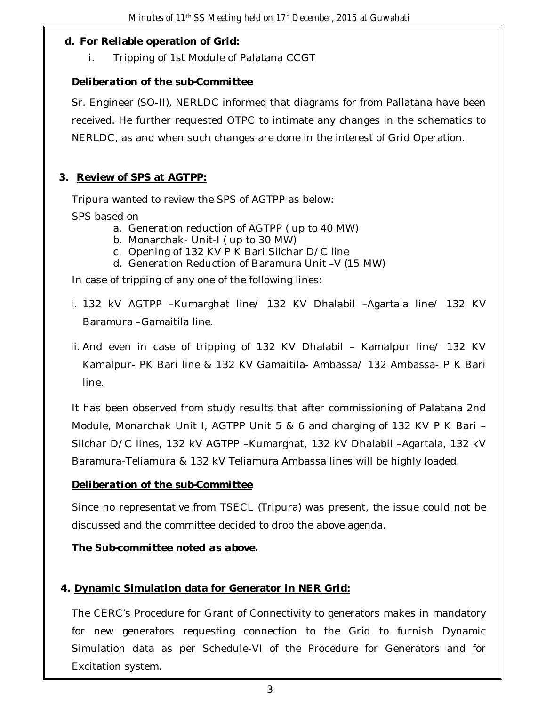#### **d. For Reliable operation of Grid:**

i. Tripping of 1st Module of Palatana CCGT

### *Deliberation of the sub-Committee*

Sr. Engineer (SO-II), NERLDC informed that diagrams for from Pallatana have been received. He further requested OTPC to intimate any changes in the schematics to NERLDC, as and when such changes are done in the interest of Grid Operation.

### **3. Review of SPS at AGTPP:**

Tripura wanted to review the SPS of AGTPP as below:

SPS based on

- a. Generation reduction of AGTPP ( up to 40 MW)
- b. Monarchak- Unit-I ( up to 30 MW)
- c. Opening of 132 KV P K Bari Silchar D/C line
- d. Generation Reduction of Baramura Unit –V (15 MW)

In case of tripping of any one of the following lines:

- i. 132 kV AGTPP –Kumarghat line/ 132 KV Dhalabil –Agartala line/ 132 KV Baramura –Gamaitila line.
- ii. And even in case of tripping of 132 KV Dhalabil Kamalpur line/ 132 KV Kamalpur- PK Bari line & 132 KV Gamaitila- Ambassa/ 132 Ambassa- P K Bari line.

It has been observed from study results that after commissioning of Palatana 2nd Module, Monarchak Unit I, AGTPP Unit 5 & 6 and charging of 132 KV P K Bari – Silchar D/C lines, 132 kV AGTPP –Kumarghat, 132 kV Dhalabil –Agartala, 132 kV Baramura-Teliamura & 132 kV Teliamura Ambassa lines will be highly loaded.

### *Deliberation of the sub-Committee*

Since no representative from TSECL (Tripura) was present, the issue could not be discussed and the committee decided to drop the above agenda.

*The Sub-committee noted as above.* 

### **4. Dynamic Simulation data for Generator in NER Grid:**

The CERC's Procedure for Grant of Connectivity to generators makes in mandatory for new generators requesting connection to the Grid to furnish Dynamic Simulation data as per Schedule-VI of the Procedure for Generators and for Excitation system.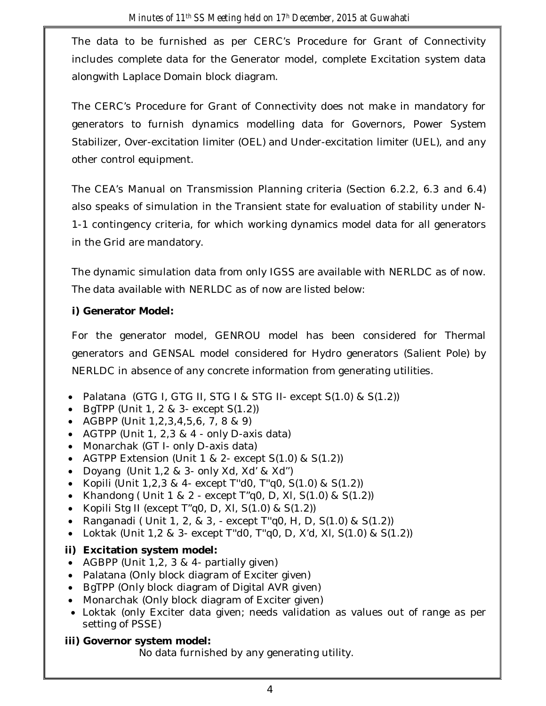The data to be furnished as per CERC's Procedure for Grant of Connectivity includes complete data for the Generator model, complete Excitation system data alongwith Laplace Domain block diagram.

The CERC's Procedure for Grant of Connectivity does not make in mandatory for generators to furnish dynamics modelling data for Governors, Power System Stabilizer, Over-excitation limiter (OEL) and Under-excitation limiter (UEL), and any other control equipment.

The CEA's Manual on Transmission Planning criteria (Section 6.2.2, 6.3 and 6.4) also speaks of simulation in the Transient state for evaluation of stability under N-1-1 contingency criteria, for which working dynamics model data for all generators in the Grid are mandatory.

The dynamic simulation data from only IGSS are available with NERLDC as of now. The data available with NERLDC as of now are listed below:

#### **i) Generator Model:**

For the generator model, GENROU model has been considered for Thermal generators and GENSAL model considered for Hydro generators (Salient Pole) by NERLDC in absence of any concrete information from generating utilities.

- Palatana (GTG I, GTG II, STG I & STG II- except S(1.0) & S(1.2))
- $\bullet$  BqTPP (Unit 1, 2 & 3- except  $S(1.2)$ )
- AGBPP (Unit 1,2,3,4,5,6, 7, 8 & 9)
- AGTPP (Unit 1, 2,3 & 4 only D-axis data)
- Monarchak (GT I- only D-axis data)
- AGTPP Extension (Unit 1 & 2- except  $S(1.0)$  &  $S(1.2)$ )
- Doyang (Unit 1,2 & 3- only Xd, Xd' & Xd'')
- Kopili (Unit  $1,2,3,8,4$  except T"d0, T"q0, S(1.0) & S(1.2))
- Khandong ( Unit  $1 \& 2$  except  $T''q0$ , D, XI,  $S(1.0) \& S(1.2)$ )
- Kopili Stg II (except  $T''q0$ , D, XI, S(1.0) & S(1.2))
- Ranganadi ( Unit 1, 2, & 3, except T"q0, H, D,  $S(1.0)$  &  $S(1.2)$ )
- Loktak (Unit 1,2 & 3- except T"d0, T"q0, D, X'd, XI, S(1.0) & S(1.2))

### **ii) Excitation system model:**

- AGBPP (Unit 1,2, 3 & 4- partially given)
- Palatana (Only block diagram of Exciter given)
- BgTPP (Only block diagram of Digital AVR given)
- Monarchak (Only block diagram of Exciter given)
- Loktak (only Exciter data given; needs validation as values out of range as per setting of PSSE)
- **iii) Governor system model:**

No data furnished by any generating utility.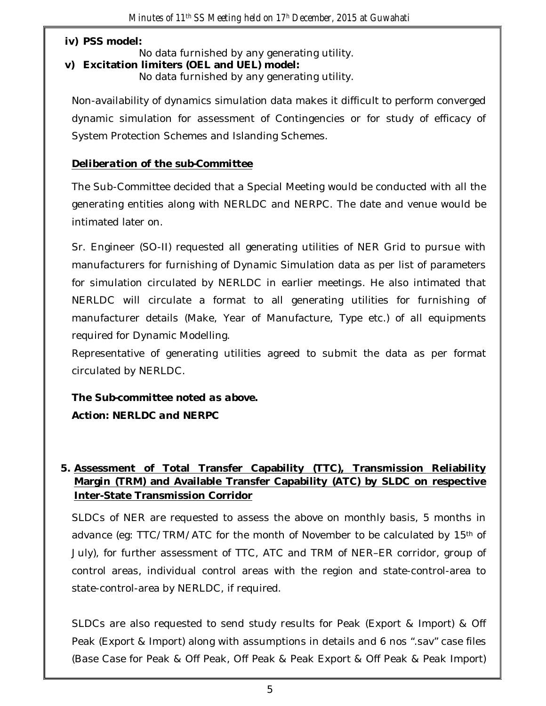#### **iv) PSS model:**

No data furnished by any generating utility.

**v) Excitation limiters (OEL and UEL) model:**

No data furnished by any generating utility.

Non-availability of dynamics simulation data makes it difficult to perform converged dynamic simulation for assessment of Contingencies or for study of efficacy of System Protection Schemes and Islanding Schemes.

#### *Deliberation of the sub-Committee*

The Sub-Committee decided that a Special Meeting would be conducted with all the generating entities along with NERLDC and NERPC. The date and venue would be intimated later on.

Sr. Engineer (SO-II) requested all generating utilities of NER Grid to pursue with manufacturers for furnishing of Dynamic Simulation data as per list of parameters for simulation circulated by NERLDC in earlier meetings. He also intimated that NERLDC will circulate a format to all generating utilities for furnishing of manufacturer details (Make, Year of Manufacture, Type etc.) of all equipments required for Dynamic Modelling.

Representative of generating utilities agreed to submit the data as per format circulated by NERLDC.

*The Sub-committee noted as above. Action: NERLDC and NERPC*

### **5. Assessment of Total Transfer Capability (TTC), Transmission Reliability Margin (TRM) and Available Transfer Capability (ATC) by SLDC on respective Inter-State Transmission Corridor**

SLDCs of NER are requested to assess the above on monthly basis, 5 months in advance (eg: TTC/TRM/ATC for the month of November to be calculated by 15th of July), for further assessment of TTC, ATC and TRM of NER–ER corridor, group of control areas, individual control areas with the region and state-control-area to state-control-area by NERLDC, if required.

SLDCs are also requested to send study results for Peak (Export & Import) & Off Peak (Export & Import) along with assumptions in details and 6 nos ".sav" case files (Base Case for Peak & Off Peak, Off Peak & Peak Export & Off Peak & Peak Import)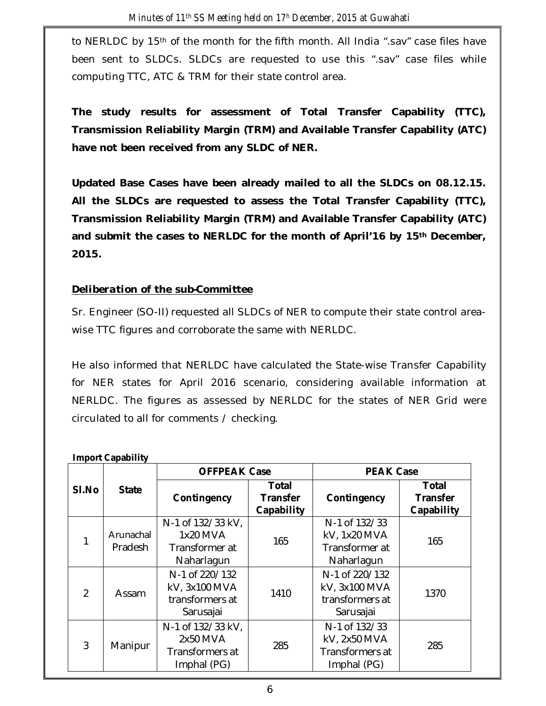to NERLDC by 15<sup>th</sup> of the month for the fifth month. All India ".sav" case files have been sent to SLDCs. SLDCs are requested to use this ".sav" case files while computing TTC, ATC & TRM for their state control area.

**The study results for assessment of Total Transfer Capability (TTC), Transmission Reliability Margin (TRM) and Available Transfer Capability (ATC) have not been received from any SLDC of NER.**

**Updated Base Cases have been already mailed to all the SLDCs on 08.12.15. All the SLDCs are requested to assess the Total Transfer Capability (TTC), Transmission Reliability Margin (TRM) and Available Transfer Capability (ATC) and submit the cases to NERLDC for the month of April'16 by 15th December, 2015.**

### *Deliberation of the sub-Committee*

Sr. Engineer (SO-II) requested all SLDCs of NER to compute their state control areawise TTC figures and corroborate the same with NERLDC.

He also informed that NERLDC have calculated the State-wise Transfer Capability for NER states for April 2016 scenario, considering available information at NERLDC. The figures as assessed by NERLDC for the states of NER Grid were circulated to all for comments / checking.

|                | <b>State</b>         | <b>OFFPEAK Case</b>                                             |                                               | <b>PEAK Case</b>                                                |                                               |
|----------------|----------------------|-----------------------------------------------------------------|-----------------------------------------------|-----------------------------------------------------------------|-----------------------------------------------|
| SI.No          |                      | Contingency                                                     | <b>Total</b><br><b>Transfer</b><br>Capability | Contingency                                                     | <b>Total</b><br><b>Transfer</b><br>Capability |
|                | Arunachal<br>Pradesh | N-1 of 132/33 kV,<br>1x20 MVA<br>Transformer at<br>Naharlagun   | 165                                           | N-1 of 132/33<br>kV, 1x20 MVA<br>Transformer at<br>Naharlagun   | 165                                           |
| $\overline{2}$ | Assam                | N-1 of 220/132<br>kV, 3x100 MVA<br>transformers at<br>Sarusajai | 1410                                          | N-1 of 220/132<br>kV, 3x100 MVA<br>transformers at<br>Sarusajai | 1370                                          |
| 3              | Manipur              | N-1 of 132/33 kV,<br>2x50 MVA<br>Transformers at<br>Imphal (PG) | 285                                           | N-1 of 132/33<br>kV, 2x50 MVA<br>Transformers at<br>Imphal (PG) | 285                                           |

#### **Import Capability**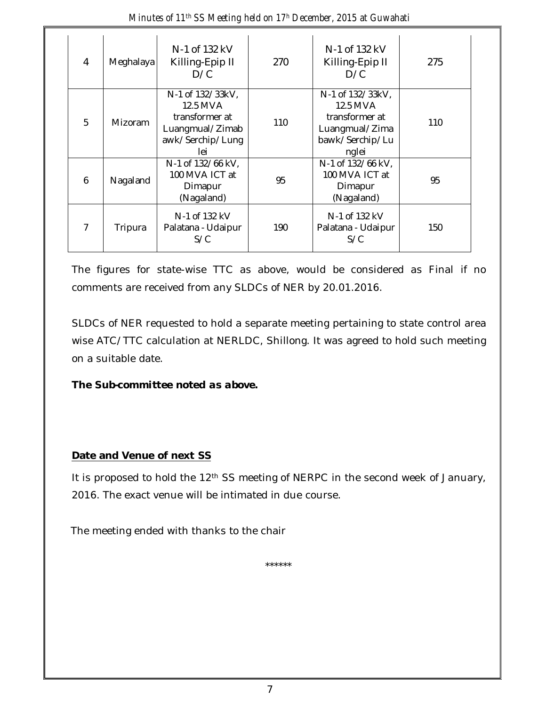| Minutes of 11 <sup>th</sup> SS Meeting held on 17 <sup>h</sup> December, 2015 at Guwahati |
|-------------------------------------------------------------------------------------------|
|-------------------------------------------------------------------------------------------|

| 4 | Meghalaya      | N-1 of 132 kV<br>Killing-Epip II<br>D/C                                                      | 270 | N-1 of 132 kV<br>Killing-Epip II<br>D/C                                                      | 275 |
|---|----------------|----------------------------------------------------------------------------------------------|-----|----------------------------------------------------------------------------------------------|-----|
| 5 | <b>Mizoram</b> | N-1 of 132/33kV,<br>12.5 MVA<br>transformer at<br>Luangmual/Zimab<br>awk/Serchip/Lung<br>lei | 110 | N-1 of 132/33kV,<br>12.5 MVA<br>transformer at<br>Luangmual/Zima<br>bawk/Serchip/Lu<br>nglei | 110 |
| 6 | Nagaland       | N-1 of 132/66 kV,<br>100 MVA ICT at<br>Dimapur<br>(Nagaland)                                 | 95  | N-1 of 132/66 kV,<br>100 MVA ICT at<br>Dimapur<br>(Nagaland)                                 | 95  |
| 7 | Tripura        | N-1 of 132 kV<br>Palatana - Udaipur<br>S/C                                                   | 190 | N-1 of 132 kV<br>Palatana - Udaipur<br>S/C                                                   | 150 |

The figures for state-wise TTC as above, would be considered as Final if no comments are received from any SLDCs of NER by 20.01.2016.

SLDCs of NER requested to hold a separate meeting pertaining to state control area wise ATC/TTC calculation at NERLDC, Shillong. It was agreed to hold such meeting on a suitable date.

#### *The Sub-committee noted as above.*

#### **Date and Venue of next SS**

It is proposed to hold the 12<sup>th</sup> SS meeting of NERPC in the second week of January, 2016. The exact venue will be intimated in due course.

The meeting ended with thanks to the chair

\*\*\*\*\*\*